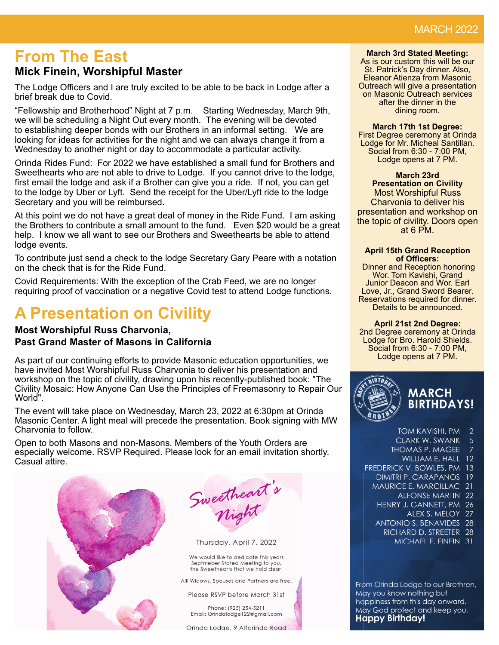# **From The East**

# **Mick Finein, Worshipful Master**

The Lodge Officers and I are truly excited to be able to be back in Lodge after a brief break due to Covid.

"Fellowship and Brotherhood" Night at 7 p.m. Starting Wednesday, March 9th, we will be scheduling a Night Out every month. The evening will be devoted to establishing deeper bonds with our Brothers in an informal setting. We are looking for ideas for activities for the night and we can always change it from a Wednesday to another night or day to accommodate a particular activity.

Orinda Rides Fund: For 2022 we have established a small fund for Brothers and Sweethearts who are not able to drive to Lodge. If you cannot drive to the lodge, first email the lodge and ask if a Brother can give you a ride. If not, you can get to the lodge by Uber or Lyft. Send the receipt for the Uber/Lyft ride to the lodge Secretary and you will be reimbursed.

At this point we do not have a great deal of money in the Ride Fund. I am asking the Brothers to contribute a small amount to the fund. Even \$20 would be a great help. I know we all want to see our Brothers and Sweethearts be able to attend lodge events.

To contribute just send a check to the lodge Secretary Gary Peare with a notation on the check that is for the Ride Fund.

Covid Requirements: With the exception of the Crab Feed, we are no longer requiring proof of vaccination or a negative Covid test to attend Lodge functions.

# **A Presentation on Civility**

# **Most Worshipful Russ Charvonia, Past Grand Master of Masons in California**

As part of our continuing efforts to provide Masonic education opportunities, we have invited Most Worshipful Russ Charvonia to deliver his presentation and workshop on the topic of civility, drawing upon his recently-published book: "The Civility Mosaic: How Anyone Can Use the Principles of Freemasonry to Repair Our World".

The event will take place on Wednesday, March 23, 2022 at 6:30pm at Orinda Masonic Center. A light meal will precede the presentation. Book signing with MW Charvonia to follow.

Open to both Masons and non-Masons. Members of the Youth Orders are especially welcome. RSVP Required. Please look for an email invitation shortly. Casual attire.



Sweetheart's

Thursday, April 7, 2022

We would like to dedicate this years Septmeber Stated Meeting to you, the Sweethearts that we hold dear.

Alll Widows, Spouses and Partners are free.

Please RSVP before March 31st

Phone: (925) 254-5211 Email: Orindalodge122@amail.com

Orinda Lodge, 9 Altarinda Road

#### **March 3rd Stated Meeting:**

As is our custom this will be our St. Patrick's Day dinner. Also, Eleanor Atienza from Masonic Outreach will give a presentation on Masonic Outreach services after the dinner in the dining room.

**March 17th 1st Degree:**

First Degree ceremony at Orinda Lodge for Mr. Micheal Santillan. Social from 6:30 - 7:00 PM, Lodge opens at 7 PM.

**March 23rd Presentation on Civility** Most Worshipful Russ Charvonia to deliver his presentation and workshop on the topic of civility. Doors open at 6 PM.

#### **April 15th Grand Reception of Offi cers:**

 Dinner and Reception honoring Wor. Tom Kavishi, Grand Junior Deacon and Wor. Earl Love, Jr., Grand Sword Bearer. Reservations required for dinner. Details to be announced.

**April 21st 2nd Degree:**

2nd Degree ceremony at Orinda Lodge for Bro. Harold Shields. Social from 6:30 - 7:00 PM, Lodge opens at 7 PM.



- TOM KAVISHI, PM  $\mathcal{P}$  $\overline{5}$ CLARK W. SWANK **THOMAS P. MAGEE** WILLIAM E. HALL 12 FREDERICK V. BOWLES, PM 13 DIMITRI P. CARAPANOS 19 MAURICE E. MARCILLAC 21 **ALFONSE MARTIN 22** HENRY J. GANNETT, PM 26 ALEX S. MELOY 27 ANTONIO S. BENAVIDES 28
	- RICHARD D. STREETER 28
		- MICHAEL E. FINEIN 31

From Orinda Lodge to our Brethren, May you know nothing but happiness from this day onward. May God protect and keep you. **Happy Birthday!**